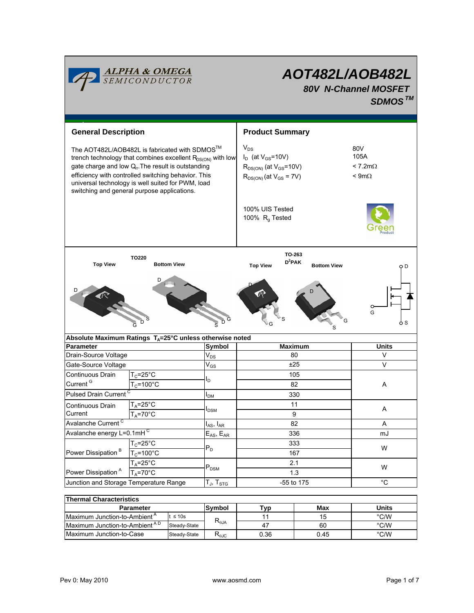

# *AOT482L/AOB482L 80V N-Channel MOSFET SDMOSTM*

| <b>General Description</b>                                                                                                                                                                                                                                                                                                                    |                                                                           |                                               | <b>Product Summary</b>                                                                                     |                |                    |                                                   |  |
|-----------------------------------------------------------------------------------------------------------------------------------------------------------------------------------------------------------------------------------------------------------------------------------------------------------------------------------------------|---------------------------------------------------------------------------|-----------------------------------------------|------------------------------------------------------------------------------------------------------------|----------------|--------------------|---------------------------------------------------|--|
| The AOT482L/AOB482L is fabricated with SDMOS™<br>trench technology that combines excellent $R_{DS(ON)}$ with low<br>gate charge and low Q <sub>r</sub> . The result is outstanding<br>efficiency with controlled switching behavior. This<br>universal technology is well suited for PWM, load<br>switching and general purpose applications. |                                                                           |                                               | $V_{DS}$<br>$I_D$ (at $V_{GS}$ =10V)<br>$R_{DS(ON)}$ (at $V_{GS}$ =10V)<br>$R_{DS(ON)}$ (at $V_{GS}$ = 7V) |                |                    | 80V<br>105A<br>$< 7.2$ m $\Omega$<br>$< 9m\Omega$ |  |
|                                                                                                                                                                                                                                                                                                                                               |                                                                           | 100% UIS Tested<br>100% R <sub>q</sub> Tested |                                                                                                            |                |                    |                                                   |  |
| TO220                                                                                                                                                                                                                                                                                                                                         |                                                                           |                                               |                                                                                                            | TO-263         |                    |                                                   |  |
| <b>Top View</b>                                                                                                                                                                                                                                                                                                                               | <b>Bottom View</b>                                                        |                                               | <b>Top View</b>                                                                                            | $D^2$ PAK      | <b>Bottom View</b> | ОO                                                |  |
|                                                                                                                                                                                                                                                                                                                                               | D                                                                         | D<br>$\overline{\mathbf{s}}$                  |                                                                                                            |                |                    | G<br>6 S                                          |  |
|                                                                                                                                                                                                                                                                                                                                               | Absolute Maximum Ratings $T_A = 25^\circ \text{C}$ unless otherwise noted |                                               |                                                                                                            | <b>Maximum</b> |                    | <b>Units</b>                                      |  |
| <b>Parameter</b><br>Drain-Source Voltage                                                                                                                                                                                                                                                                                                      |                                                                           | Symbol<br>$\mathsf{V}_{\mathsf{DS}}$          | 80                                                                                                         |                |                    | $\vee$                                            |  |
| Gate-Source Voltage                                                                                                                                                                                                                                                                                                                           |                                                                           | $\rm V_{GS}$                                  | ±25                                                                                                        |                | V                  |                                                   |  |
| Continuous Drain                                                                                                                                                                                                                                                                                                                              | $T_c = 25$ °C                                                             |                                               | 105                                                                                                        |                |                    |                                                   |  |
| Current <sup>G</sup>                                                                                                                                                                                                                                                                                                                          | $T_c = 100^{\circ}C$                                                      | ΙD                                            | 82<br>330                                                                                                  |                |                    | Α                                                 |  |
| <b>Pulsed Drain Current</b>                                                                                                                                                                                                                                                                                                                   |                                                                           | I <sub>DM</sub>                               |                                                                                                            |                |                    |                                                   |  |
| Continuous Drain                                                                                                                                                                                                                                                                                                                              | $T_A = 25$ °C                                                             |                                               | 11<br>9                                                                                                    |                |                    |                                                   |  |
| Current                                                                                                                                                                                                                                                                                                                                       | $T_A = 70^\circ C$                                                        | $I_{DSM}$                                     |                                                                                                            |                |                    | Α                                                 |  |
| Avalanche Current <sup>C</sup>                                                                                                                                                                                                                                                                                                                |                                                                           | $I_{AS}$ , $I_{AR}$                           | 82                                                                                                         |                |                    | A                                                 |  |
| Avalanche energy L=0.1mHC                                                                                                                                                                                                                                                                                                                     |                                                                           | $E_{AS}$ , $E_{AR}$                           |                                                                                                            | 336            |                    | mJ                                                |  |
| Power Dissipation <sup>B</sup>                                                                                                                                                                                                                                                                                                                | $T_c = 25$ °C                                                             | $\mathsf{P}_\mathsf{D}$                       | 333<br>167                                                                                                 |                |                    | W                                                 |  |
|                                                                                                                                                                                                                                                                                                                                               | $T_c = 100^{\circ}C$                                                      |                                               |                                                                                                            |                |                    |                                                   |  |
|                                                                                                                                                                                                                                                                                                                                               | $T_A = 25$ °C                                                             | $\mathsf{P}_\mathsf{DSM}$                     | 2.1<br>1.3                                                                                                 |                |                    | W                                                 |  |
| Power Dissipation <sup>A</sup>                                                                                                                                                                                                                                                                                                                | $T_A = 70$ °C                                                             |                                               |                                                                                                            |                |                    |                                                   |  |
| Junction and Storage Temperature Range<br>$T_J$ , $T_{STG}$                                                                                                                                                                                                                                                                                   |                                                                           | -55 to 175                                    |                                                                                                            | $^{\circ}C$    |                    |                                                   |  |
|                                                                                                                                                                                                                                                                                                                                               |                                                                           |                                               |                                                                                                            |                |                    |                                                   |  |

| <b>Thermal Characteristics</b>            |               |                                           |      |       |      |  |  |
|-------------------------------------------|---------------|-------------------------------------------|------|-------|------|--|--|
| <b>Parameter</b>                          | Svmbol        | Tvp                                       | Max  | Units |      |  |  |
| Maximum Junction-to-Ambient <sup>A</sup>  | t $\leq 10$ s | $\mathsf{R}_{\theta \mathsf{JA}}$         |      | 15    | °C/W |  |  |
| Maximum Junction-to-Ambient <sup>AD</sup> | Steady-State  |                                           | 47   | 60    | °C/W |  |  |
| Maximum Junction-to-Case                  | Steady-State  | $\mathsf{R}_{\theta\mathsf{J}\mathsf{C}}$ | 0.36 | 0.45  | °C/W |  |  |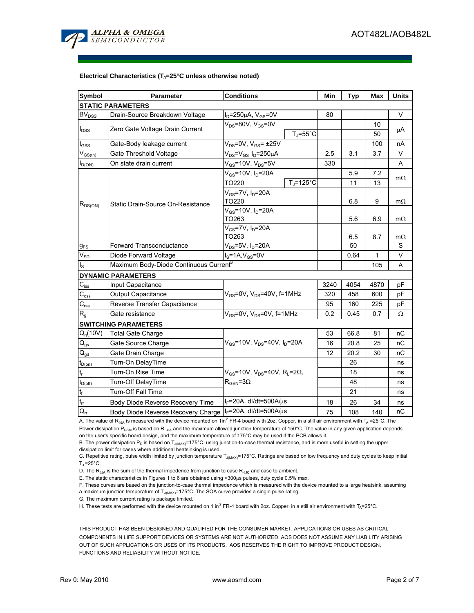

#### Electrical Characteristics (T<sub>J</sub>=25°C unless otherwise noted)

| <b>Symbol</b>             | <b>Parameter</b>                                   | <b>Conditions</b>                                          | Min  | <b>Typ</b> | <b>Max</b> | <b>Units</b>   |  |  |
|---------------------------|----------------------------------------------------|------------------------------------------------------------|------|------------|------------|----------------|--|--|
| <b>STATIC PARAMETERS</b>  |                                                    |                                                            |      |            |            |                |  |  |
| BV <sub>DSS</sub>         | Drain-Source Breakdown Voltage                     | $I_D = 250 \mu A$ , $V_{GS} = 0V$                          | 80   |            |            | V              |  |  |
| $I_{DSS}$                 | Zero Gate Voltage Drain Current                    | $V_{DS}$ =80V, $V_{GS}$ =0V                                |      |            | 10         | μA             |  |  |
|                           |                                                    | $T_J = 55^{\circ}C$                                        |      |            | 50         |                |  |  |
| $I_{GSS}$                 | Gate-Body leakage current                          | $V_{DS}$ =0V, $V_{GS}$ = ±25V                              |      |            | 100        | nA             |  |  |
| $V_{GS(th)}$              | Gate Threshold Voltage                             | $V_{DS} = V_{GS} I_D = 250 \mu A$                          | 2.5  | 3.1        | 3.7        | V              |  |  |
| $I_{D(ON)}$               | On state drain current                             | $V_{GS}$ =10V, $V_{DS}$ =5V                                | 330  |            |            | A              |  |  |
| $R_{DS(ON)}$              | Static Drain-Source On-Resistance                  | $V_{GS}$ =10V, $I_D$ =20A                                  |      | 5.9        | 7.2        | $m\Omega$      |  |  |
|                           |                                                    | $T_i = 125^{\circ}C$<br>TO220                              | 11   | 13         |            |                |  |  |
|                           |                                                    | $V_{GS}$ =7V, $I_D$ =20A                                   |      |            |            |                |  |  |
|                           |                                                    | TO220                                                      |      | 6.8        | 9          | $m\Omega$      |  |  |
|                           |                                                    | $V_{GS}$ =10V, $I_D$ =20A                                  |      |            |            |                |  |  |
|                           |                                                    | TO263                                                      |      | 5.6        | 6.9        | $m\Omega$      |  |  |
|                           |                                                    | $V_{GS}$ =7V, $I_D$ =20A                                   |      |            |            |                |  |  |
|                           | <b>Forward Transconductance</b>                    | TO263                                                      |      | 6.5<br>50  | 8.7        | $m\Omega$<br>S |  |  |
| $g_{FS}$                  |                                                    | $V_{DS}$ =5V, I <sub>D</sub> =20A                          |      |            |            | $\vee$         |  |  |
| $V_{SD}$                  | Diode Forward Voltage                              | $I_S = 1A, V_{GS} = 0V$                                    |      | 0.64       | 1          |                |  |  |
| $\mathsf{I}_\mathsf{S}$   | Maximum Body-Diode Continuous Current <sup>6</sup> |                                                            |      |            | 105        | A              |  |  |
|                           | <b>DYNAMIC PARAMETERS</b>                          |                                                            |      |            |            |                |  |  |
| $C_{iss}$                 | Input Capacitance                                  |                                                            | 3240 | 4054       | 4870       | pF             |  |  |
| $\mathsf{C}_{\text{oss}}$ | Output Capacitance                                 | $V_{GS}$ =0V, $V_{DS}$ =40V, f=1MHz                        | 320  | 458        | 600        | рF             |  |  |
| $\mathbf{C}_{\text{rss}}$ | Reverse Transfer Capacitance                       |                                                            | 95   | 160        | 225        | pF             |  |  |
| $R_{q}$                   | Gate resistance                                    | $V_{GS}$ =0V, $V_{DS}$ =0V, f=1MHz                         | 0.2  | 0.45       | 0.7        | Ω              |  |  |
|                           | <b>SWITCHING PARAMETERS</b>                        |                                                            |      |            |            |                |  |  |
| $Q_q(10V)$                | <b>Total Gate Charge</b>                           |                                                            | 53   | 66.8       | 81         | пC             |  |  |
| $Q_{gs}$                  | Gate Source Charge                                 | $V_{GS}$ =10V, $V_{DS}$ =40V, $I_D$ =20A                   | 16   | 20.8       | 25         | nС             |  |  |
| $Q_{gd}$                  | Gate Drain Charge                                  |                                                            | 12   | 20.2       | 30         | nC             |  |  |
| $t_{D(0n)}$               | Turn-On DelayTime                                  |                                                            |      | 26         |            | ns             |  |  |
| $t_r$                     | Turn-On Rise Time                                  | $V_{GS}$ =10V, $V_{DS}$ =40V, R <sub>L</sub> =2 $\Omega$ , |      | 18         |            | ns             |  |  |
| $t_{D(off)}$              | Turn-Off DelayTime                                 | $R_{\text{GEN}} = 3\Omega$                                 |      | 48         |            | ns             |  |  |
| $\mathsf{t}_{\mathsf{f}}$ | <b>Turn-Off Fall Time</b>                          |                                                            |      | 21         |            | ns             |  |  |
| $t_{\rm rr}$              | Body Diode Reverse Recovery Time                   | $I_F$ =20A, dl/dt=500A/ $\mu$ s                            | 18   | 26         | 34         | ns             |  |  |
| $Q_{rr}$                  | Body Diode Reverse Recovery Charge                 | $I_F$ =20A, dl/dt=500A/ $\mu$ s                            | 75   | 108        | 140        | nC             |  |  |

A. The value of R<sub>0JA</sub> is measured with the device mounted on 1in<sup>2</sup> FR-4 board with 2oz. Copper, in a still air environment with T<sub>A</sub> =25°C. The Power dissipation P<sub>DSM</sub> is based on R <sub>θJA</sub> and the maximum allowed junction temperature of 150°C. The value in any given application depends on the user's specific board design, and the maximum temperature of 175°C may be used if the PCB allows it.

B. The power dissipation  $P_D$  is based on  $T_{J(MAX)}$ =175°C, using junction-to-case thermal resistance, and is more useful in setting the upper dissipation limit for cases where additional heatsinking is used.

C. Repetitive rating, pulse width limited by junction temperature T<sub>J(MAX)</sub>=175°C. Ratings are based on low frequency and duty cycles to keep initial  $T_J = 25$ °C.

D. The  $R_{\theta JA}$  is the sum of the thermal impedence from junction to case  $R_{\theta JC}$  and case to ambient.

E. The static characteristics in Figures 1 to 6 are obtained using <300µs pulses, duty cycle 0.5% max.

F. These curves are based on the junction-to-case thermal impedence which is measured with the device mounted to a large heatsink, assuming a maximum junction temperature of  $T_{J(MAX)}$ =175°C. The SOA curve provides a single pulse rating.

G. The maximum current rating is package limited.

H. These tests are performed with the device mounted on 1 in<sup>2</sup> FR-4 board with 2oz. Copper, in a still air environment with T<sub>A</sub>=25°C.

THIS PRODUCT HAS BEEN DESIGNED AND QUALIFIED FOR THE CONSUMER MARKET. APPLICATIONS OR USES AS CRITICAL COMPONENTS IN LIFE SUPPORT DEVICES OR SYSTEMS ARE NOT AUTHORIZED. AOS DOES NOT ASSUME ANY LIABILITY ARISING OUT OF SUCH APPLICATIONS OR USES OF ITS PRODUCTS. AOS RESERVES THE RIGHT TO IMPROVE PRODUCT DESIGN, FUNCTIONS AND RELIABILITY WITHOUT NOTICE.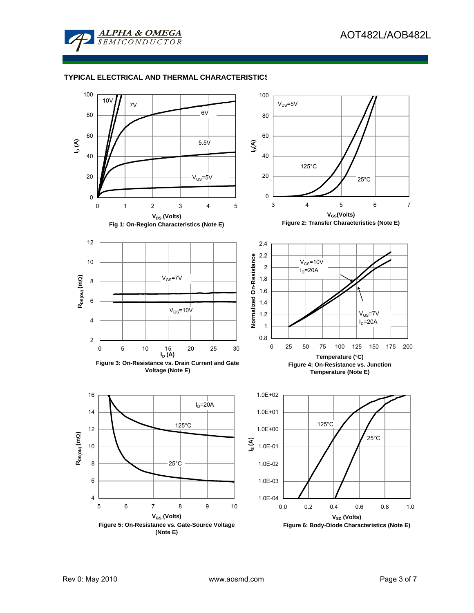

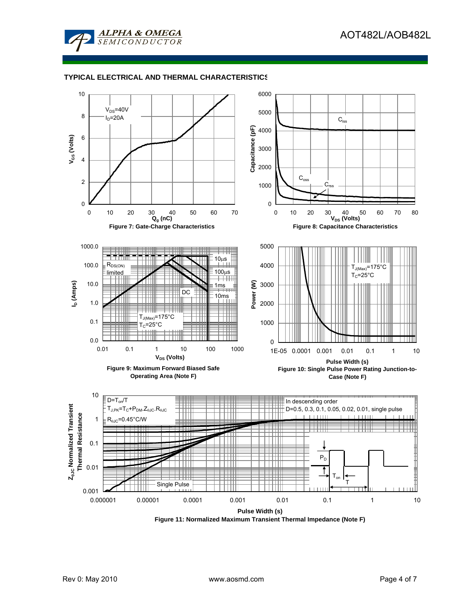



**Figure 11: Normalized Maximum Transient Thermal Impedance (Note F)**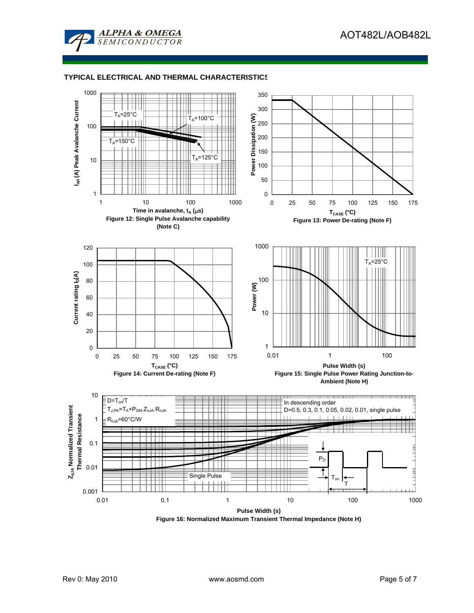



**Figure 16: Normalized Maximum Transient Thermal Impedance (Note H)**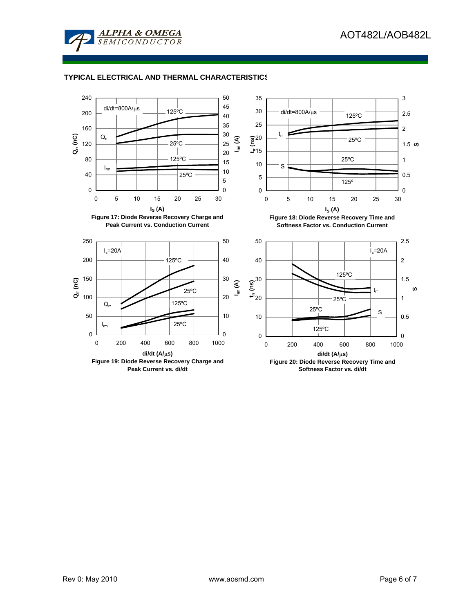